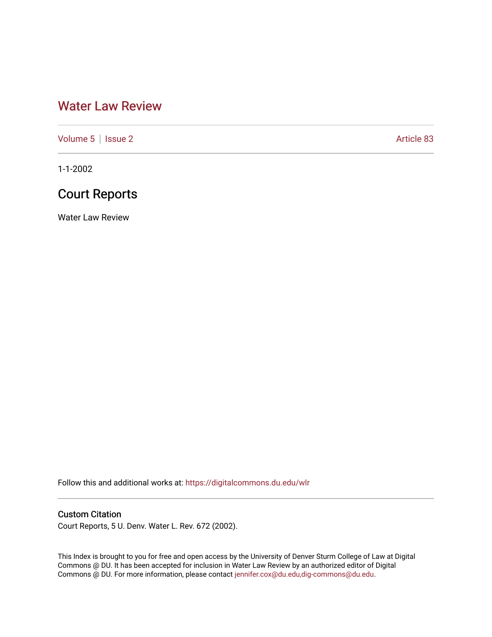# [Water Law Review](https://digitalcommons.du.edu/wlr)

[Volume 5](https://digitalcommons.du.edu/wlr/vol5) | [Issue 2](https://digitalcommons.du.edu/wlr/vol5/iss2) Article 83

1-1-2002

# Court Reports

Water Law Review

Follow this and additional works at: [https://digitalcommons.du.edu/wlr](https://digitalcommons.du.edu/wlr?utm_source=digitalcommons.du.edu%2Fwlr%2Fvol5%2Fiss2%2F83&utm_medium=PDF&utm_campaign=PDFCoverPages) 

# Custom Citation

Court Reports, 5 U. Denv. Water L. Rev. 672 (2002).

This Index is brought to you for free and open access by the University of Denver Sturm College of Law at Digital Commons @ DU. It has been accepted for inclusion in Water Law Review by an authorized editor of Digital Commons @ DU. For more information, please contact [jennifer.cox@du.edu,dig-commons@du.edu.](mailto:jennifer.cox@du.edu,dig-commons@du.edu)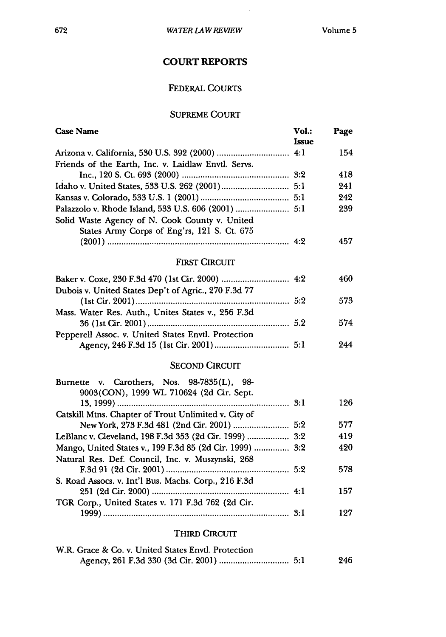$\mathcal{A}$ 

# **COURT REPORTS**

# FEDERAL COURTS

### SUPREME **COURT**

| <b>Case Name</b>                                         | Vol.:<br><b>Issue</b> | Page |
|----------------------------------------------------------|-----------------------|------|
|                                                          |                       | 154  |
| Friends of the Earth, Inc. v. Laidlaw Envtl. Servs.      |                       |      |
|                                                          |                       | 418  |
|                                                          |                       | 241  |
|                                                          |                       | 242  |
|                                                          |                       | 239  |
| Solid Waste Agency of N. Cook County v. United           |                       |      |
| States Army Corps of Eng'rs, 121 S. Ct. 675              |                       |      |
|                                                          |                       | 457  |
| <b>FIRST CIRCUIT</b>                                     |                       |      |
|                                                          |                       | 460  |
| Dubois v. United States Dep't of Agric., 270 F.3d 77     |                       |      |
|                                                          |                       | 573  |
| Mass. Water Res. Auth., Unites States v., 256 F.3d       |                       |      |
|                                                          |                       | 574  |
| Pepperell Assoc. v. United States Envtl. Protection      |                       |      |
|                                                          |                       | 244  |
|                                                          |                       |      |
| <b>SECOND CIRCUIT</b>                                    |                       |      |
| Burnette v. Carothers, Nos. 98-7835(L), 98-              |                       |      |
| 9003(CON), 1999 WL 710624 (2d Cir. Sept.                 |                       | 126  |
| Catskill Mtns. Chapter of Trout Unlimited v. City of     |                       |      |
|                                                          |                       | 577  |
| LeBlanc v. Cleveland, 198 F.3d 353 (2d Cir. 1999)  3:2   |                       | 419  |
| Mango, United States v., 199 F.3d 85 (2d Cir. 1999)  3:2 |                       | 420  |
| Natural Res. Def. Council, Inc. v. Muszynski, 268        |                       |      |
|                                                          |                       | 578  |
| S. Road Assocs. v. Int'l Bus. Machs. Corp., 216 F.3d     |                       |      |
|                                                          |                       | 157  |
| TGR Corp., United States v. 171 F.3d 762 (2d Cir.        |                       |      |
|                                                          |                       | 127  |
|                                                          |                       |      |

### THIRD CIRCUIT

| W.R. Grace & Co. v. United States Envtl. Protection |     |
|-----------------------------------------------------|-----|
|                                                     | 246 |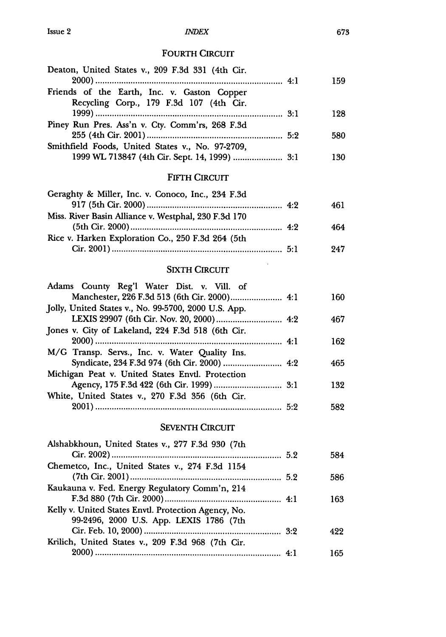### *INrDEX*

### FOURTH CIRCUIT

| Deaton, United States v., 209 F.3d 331 (4th Cir.                                       | 159 |
|----------------------------------------------------------------------------------------|-----|
| Friends of the Earth, Inc. v. Gaston Copper<br>Recycling Corp., 179 F.3d 107 (4th Cir. |     |
|                                                                                        | 128 |
| Piney Run Pres. Ass'n v. Cty. Comm'rs, 268 F.3d                                        |     |
|                                                                                        | 580 |
| Smithfield Foods, United States v., No. 97-2709,                                       |     |
| 1999 WL 713847 (4th Cir. Sept. 14, 1999)  3:1                                          | 130 |

### FIFTH CIRCUIT

| Geraghty & Miller, Inc. v. Conoco, Inc., 234 F.3d    |     |
|------------------------------------------------------|-----|
|                                                      | 461 |
| Miss. River Basin Alliance v. Westphal, 230 F.3d 170 |     |
|                                                      | 464 |
| Rice v. Harken Exploration Co., 250 F.3d 264 (5th    |     |
|                                                      | 947 |

### SIXTH **CIRCUIT**

 $\mathcal{L}$ 

| Adams County Reg'l Water Dist. v. Vill. of           |     |
|------------------------------------------------------|-----|
| Manchester, 226 F.3d 513 (6th Cir. 2000) 4:1         | 160 |
| Jolly, United States v., No. 99-5700, 2000 U.S. App. |     |
|                                                      | 467 |
| Jones v. City of Lakeland, 224 F.3d 518 (6th Cir.    |     |
|                                                      | 162 |
| M/G Transp. Servs., Inc. v. Water Quality Ins.       |     |
|                                                      | 465 |
| Michigan Peat v. United States Envtl. Protection     |     |
|                                                      | 132 |
| White, United States v., 270 F.3d 356 (6th Cir.      |     |
|                                                      | 582 |

### **SEVENTH CIRCUIT**

| Alshabkhoun, United States v., 277 F.3d 930 (7th     |     |
|------------------------------------------------------|-----|
|                                                      | 584 |
| Chemetco, Inc., United States v., 274 F.3d 1154      |     |
|                                                      | 586 |
| Kaukauna v. Fed. Energy Regulatory Comm'n, 214       |     |
|                                                      | 163 |
| Kelly v. United States Envtl. Protection Agency, No. |     |
| 99-2496, 2000 U.S. App. LEXIS 1786 (7th              |     |
|                                                      | 422 |
| Krilich, United States v., 209 F.3d 968 (7th Cir.    |     |
|                                                      | 165 |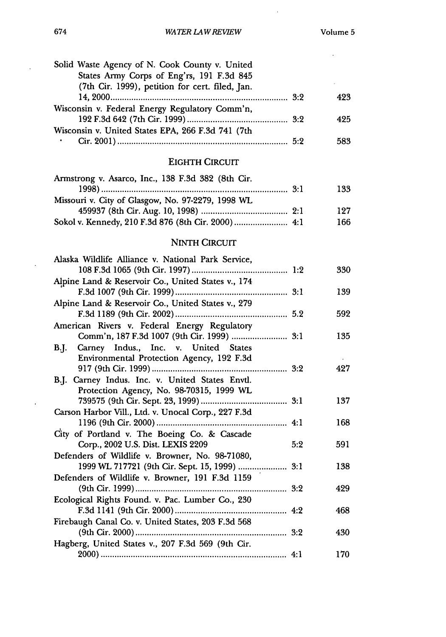$\sim 10^6$ 

| Solid Waste Agency of N. Cook County v. United    |     |
|---------------------------------------------------|-----|
| States Army Corps of Eng'rs, 191 F.3d 845         |     |
| (7th Cir. 1999), petition for cert. filed, Jan.   |     |
|                                                   | 423 |
| Wisconsin v. Federal Energy Regulatory Comm'n,    |     |
|                                                   | 425 |
| Wisconsin v. United States EPA, 266 F.3d 741 (7th |     |
|                                                   | 583 |
|                                                   |     |

# EIGHTH CIRCUIT

| Armstrong v. Asarco, Inc., 138 F.3d 382 (8th Cir. |     |
|---------------------------------------------------|-----|
|                                                   | 133 |
| Missouri v. City of Glasgow, No. 97-2279, 1998 WL |     |
|                                                   | 127 |
|                                                   | 166 |
|                                                   |     |

### NINTH CIRCUIT

| Alaska Wildlife Alliance v. National Park Service,  |     |     |
|-----------------------------------------------------|-----|-----|
|                                                     |     | 330 |
| Alpine Land & Reservoir Co., United States v., 174  |     |     |
|                                                     |     | 139 |
| Alpine Land & Reservoir Co., United States v., 279  |     |     |
|                                                     |     | 592 |
| American Rivers v. Federal Energy Regulatory        |     |     |
|                                                     |     | 135 |
| B.J. Carney Indus., Inc. v. United States           |     |     |
| Environmental Protection Agency, 192 F.3d           |     |     |
|                                                     |     | 427 |
| B.J. Carney Indus. Inc. v. United States Envtl.     |     |     |
| Protection Agency, No. 98-70315, 1999 WL            |     |     |
|                                                     |     | 137 |
| Carson Harbor Vill., Ltd. v. Unocal Corp., 227 F.3d |     |     |
|                                                     |     | 168 |
| City of Portland v. The Boeing Co. & Cascade        |     |     |
| Corp., 2002 U.S. Dist. LEXIS 2209                   | 5:2 | 591 |
| Defenders of Wildlife v. Browner, No. 98-71080,     |     |     |
| 1999 WL 717721 (9th Cir. Sept. 15, 1999)  3:1       |     | 138 |
| Defenders of Wildlife v. Browner, 191 F.3d 1159     |     |     |
|                                                     |     | 429 |
| Ecological Rights Found. v. Pac. Lumber Co., 230    |     |     |
|                                                     |     | 468 |
| Firebaugh Canal Co. v. United States, 203 F.3d 568  |     |     |
|                                                     |     | 430 |
| Hagberg, United States v., 207 F.3d 569 (9th Cir.   |     |     |
|                                                     |     | 170 |

 $\hat{\mathcal{A}}$ 

 $\bar{\mathcal{A}}$ 

 $\hat{\mathcal{E}}$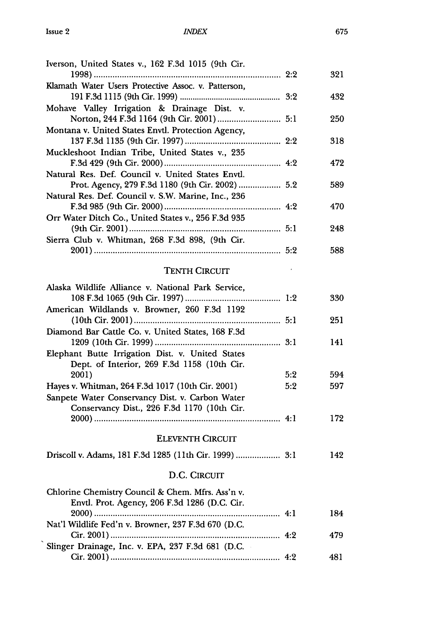| Iverson, United States v., 162 F.3d 1015 (9th Cir.        |     |     |
|-----------------------------------------------------------|-----|-----|
|                                                           |     | 321 |
| Klamath Water Users Protective Assoc. v. Patterson,       |     |     |
|                                                           |     | 432 |
| Mohave Valley Irrigation & Drainage Dist. v.              |     |     |
|                                                           |     | 250 |
| Montana v. United States Envtl. Protection Agency,        |     | 318 |
| Muckleshoot Indian Tribe, United States v., 235           |     |     |
|                                                           |     | 472 |
| Natural Res. Def. Council v. United States Envtl.         |     |     |
| Prot. Agency, 279 F.3d 1180 (9th Cir. 2002)  5.2          |     | 589 |
| Natural Res. Def. Council v. S.W. Marine, Inc., 236       |     |     |
|                                                           |     | 470 |
| Orr Water Ditch Co., United States v., 256 F.3d 935       |     |     |
|                                                           |     | 248 |
| Sierra Club v. Whitman, 268 F.3d 898, (9th Cir.           |     |     |
|                                                           |     | 588 |
|                                                           |     |     |
| <b>TENTH CIRCUIT</b>                                      |     |     |
| Alaska Wildlife Alliance v. National Park Service,        |     |     |
|                                                           |     | 330 |
| American Wildlands v. Browner, 260 F.3d 1192              |     |     |
|                                                           |     | 251 |
| Diamond Bar Cattle Co. v. United States, 168 F.3d         |     |     |
|                                                           |     | 141 |
| Elephant Butte Irrigation Dist. v. United States          |     |     |
| Dept. of Interior, 269 F.3d 1158 (10th Cir.               | 5:2 | 594 |
| 2001)<br>Hayes v. Whitman, 264 F.3d 1017 (10th Cir. 2001) | 5:2 | 597 |
| Sanpete Water Conservancy Dist. v. Carbon Water           |     |     |
| Conservancy Dist., 226 F.3d 1170 (10th Cir.               |     |     |
|                                                           |     | 172 |
|                                                           |     |     |
| <b>ELEVENTH CIRCUIT</b>                                   |     |     |
|                                                           |     | 142 |
| D.C. CIRCUIT                                              |     |     |
| Chlorine Chemistry Council & Chem. Mfrs. Ass'n v.         |     |     |
| Envtl. Prot. Agency, 206 F.3d 1286 (D.C. Cir.             |     |     |
|                                                           |     | 184 |
| Nat'l Wildlife Fed'n v. Browner, 237 F.3d 670 (D.C.       |     |     |
|                                                           |     | 479 |
| Slinger Drainage, Inc. v. EPA, 237 F.3d 681 (D.C.         |     |     |
|                                                           |     | 481 |
|                                                           |     |     |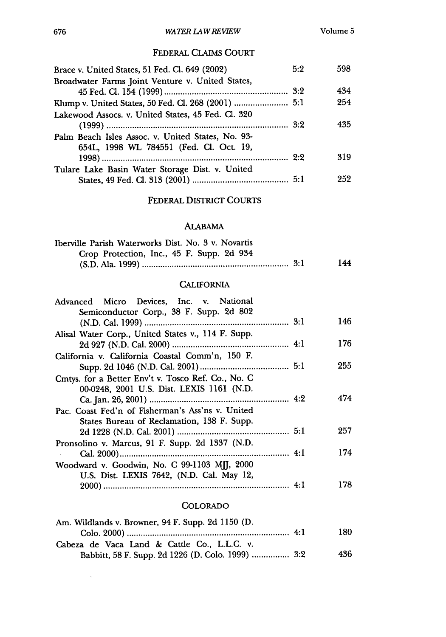### FEDERAL CLAIMS **COURT**

| Brace v. United States, 51 Fed. Cl. 649 (2002)     | 5:2 | 598 |
|----------------------------------------------------|-----|-----|
| Broadwater Farms Joint Venture v. United States,   |     |     |
|                                                    |     | 434 |
|                                                    |     | 254 |
| Lakewood Assocs. v. United States, 45 Fed. Cl. 320 |     |     |
|                                                    |     | 435 |
| Palm Beach Isles Assoc. v. United States, No. 93-  |     |     |
| 654L, 1998 WL 784551 (Fed. Cl. Oct. 19,            |     |     |
|                                                    |     | 319 |
| Tulare Lake Basin Water Storage Dist. v. United    |     |     |
|                                                    |     | 959 |

### FEDERAL DISTRICT COURTS

### **ALABAMA**

| Iberville Parish Waterworks Dist. No. 3 v. Novartis |     |
|-----------------------------------------------------|-----|
| Crop Protection, Inc., 45 F. Supp. 2d 934           |     |
|                                                     | 144 |

### **CALIFORNIA**

| Advanced Micro Devices, Inc. v. National           |     |
|----------------------------------------------------|-----|
| Semiconductor Corp., 38 F. Supp. 2d 802            |     |
|                                                    | 146 |
| Alisal Water Corp., United States v., 114 F. Supp. |     |
|                                                    | 176 |
| California v. California Coastal Comm'n, 150 F.    |     |
|                                                    | 255 |
| Cmtys. for a Better Env't v. Tosco Ref. Co., No. C |     |
| 00-0248, 2001 U.S. Dist. LEXIS 1161 (N.D.          |     |
|                                                    | 474 |
| Pac. Coast Fed'n of Fisherman's Ass'ns v. United   |     |
| States Bureau of Reclamation, 138 F. Supp.         |     |
|                                                    | 257 |
| Pronsolino v. Marcus, 91 F. Supp. 2d 1337 (N.D.    |     |
|                                                    | 174 |
| Woodward v. Goodwin, No. C 99-1103 MJJ, 2000       |     |
| U.S. Dist. LEXIS 7642, (N.D. Cal. May 12,          |     |
|                                                    | 178 |

### COLORADO

| Am. Wildlands v. Browner, 94 F. Supp. 2d 1150 (D. |     |
|---------------------------------------------------|-----|
|                                                   | 180 |
| Cabeza de Vaca Land & Cattle Co., L.L.C. v.       |     |
| Babbitt, 58 F. Supp. 2d 1226 (D. Colo. 1999)  3:2 | 436 |

 $\sim 10^{-10}$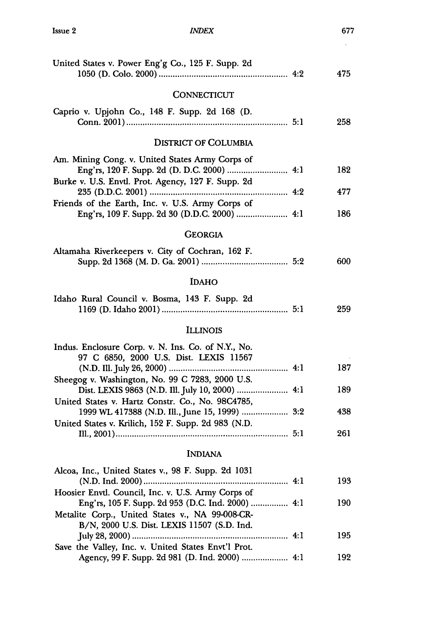| United States v. Power Eng'g Co., 125 F. Supp. 2d                                                     |     | 475 |
|-------------------------------------------------------------------------------------------------------|-----|-----|
| <b>CONNECTICUT</b>                                                                                    |     |     |
| Caprio v. Upjohn Co., 148 F. Supp. 2d 168 (D.                                                         |     | 258 |
| <b>DISTRICT OF COLUMBIA</b>                                                                           |     |     |
| Am. Mining Cong. v. United States Army Corps of<br>Burke v. U.S. Envtl. Prot. Agency, 127 F. Supp. 2d |     | 182 |
| 4:2                                                                                                   |     | 477 |
| Friends of the Earth, Inc. v. U.S. Army Corps of                                                      |     | 186 |
| <b>GEORGIA</b>                                                                                        |     |     |
| Altamaha Riverkeepers v. City of Cochran, 162 F.                                                      |     | 600 |
| <b>IDAHO</b>                                                                                          |     |     |
| Idaho Rural Council v. Bosma, 143 F. Supp. 2d                                                         |     | 259 |
| <b>ILLINOIS</b>                                                                                       |     |     |
| Indus. Enclosure Corp. v. N. Ins. Co. of N.Y., No.<br>97 C 6850, 2000 U.S. Dist. LEXIS 11567          |     | 187 |
| Sheegog v. Washington, No. 99 C 7283, 2000 U.S.<br>Dist. LEXIS 9863 (N.D. Ill. July 10, 2000)  4:1    |     | 189 |
| United States v. Hartz Constr. Co., No. 98C4785,<br>1999 WL 417388 (N.D. Ill., June 15, 1999)  3:2    |     | 438 |
| United States v. Krilich, 152 F. Supp. 2d 983 (N.D.                                                   |     | 261 |
| <b>INDIANA</b>                                                                                        |     |     |
| Alcoa, Inc., United States v., 98 F. Supp. 2d 1031<br>(N.D. Ind. 2000)<br>4:1                         |     | 193 |
| Hoosier Envtl. Council, Inc. v. U.S. Army Corps of<br>Eng'rs, 105 F. Supp. 2d 953 (D.C. Ind. 2000)    | 4:1 | 190 |
| Metalite Corp., United States v., NA 99-008-CR-<br>B/N, 2000 U.S. Dist. LEXIS 11507 (S.D. Ind.        |     | 195 |

Save the Valley, Inc. v. United States Envt'l Prot.

Agency, **99** F. Supp. **2d 981 (D. Ind.** 2000) **....................** 4:1 **192**

677  $\hat{\mathcal{A}}$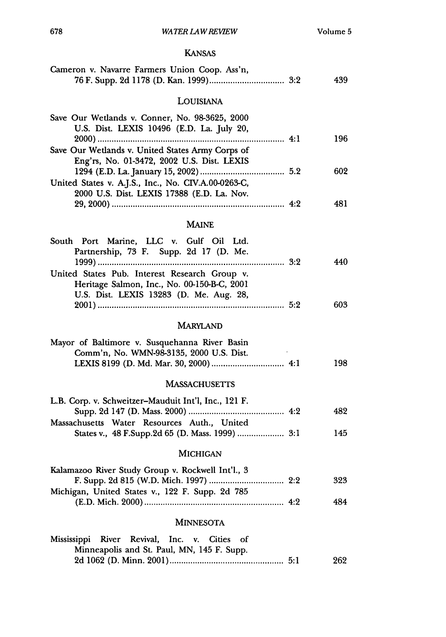### KANSAS

| Cameron v. Navarre Farmers Union Coop. Ass'n,                                                                                           | 439 |
|-----------------------------------------------------------------------------------------------------------------------------------------|-----|
| LOUISIANA                                                                                                                               |     |
| Save Our Wetlands v. Conner, No. 98-3625, 2000<br>U.S. Dist. LEXIS 10496 (E.D. La. July 20,                                             | 196 |
| Save Our Wetlands v. United States Army Corps of<br>Eng'rs, No. 01-3472, 2002 U.S. Dist. LEXIS                                          | 602 |
| United States v. A.J.S., Inc., No. CIV.A.00-0263-C,<br>2000 U.S. Dist. LEXIS 17388 (E.D. La. Nov.                                       |     |
|                                                                                                                                         | 481 |
| <b>MAINE</b>                                                                                                                            |     |
| South Port Marine, LLC v. Gulf Oil Ltd.<br>Partnership, 73 F. Supp. 2d 17 (D. Me.                                                       | 440 |
| United States Pub. Interest Research Group v.<br>Heritage Salmon, Inc., No. 00-150-B-C, 2001<br>U.S. Dist. LEXIS 13283 (D. Me. Aug. 28, |     |
|                                                                                                                                         | 603 |
| <b>MARYLAND</b>                                                                                                                         |     |
| Mayor of Baltimore v. Susquehanna River Basin<br>Comm'n, No. WMN-98-3135, 2000 U.S. Dist.                                               | 198 |
| <b>MASSACHUSETTS</b>                                                                                                                    |     |
| L.B. Corp. v. Schweitzer-Mauduit Int'l, Inc., 121 F.<br>Massachusetts Water Resources Auth., United                                     | 482 |
|                                                                                                                                         | 145 |
| MICHIGAN                                                                                                                                |     |
| Kalamazoo River Study Group v. Rockwell Int'l., 3<br>Michigan, United States v., 122 F. Supp. 2d 785                                    | 323 |
|                                                                                                                                         | 484 |
| <b>MINNESOTA</b>                                                                                                                        |     |
| Mississippi River Revival, Inc. v. Cities of<br>Minneapolis and St. Paul, MN, 145 F. Supp.                                              |     |
|                                                                                                                                         | 262 |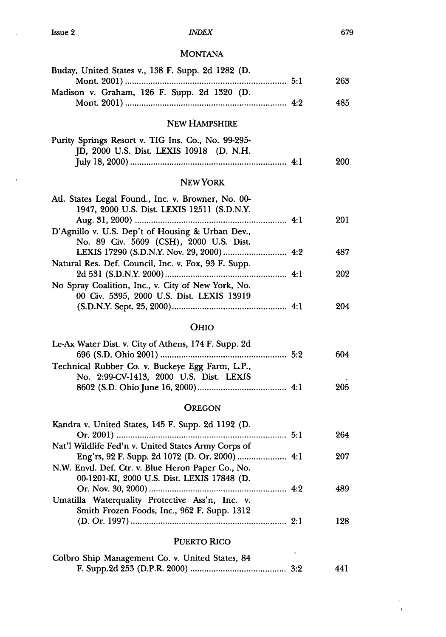$\bar{\star}$ 

 $\alpha$ 

### *INDEX*

# **MONTANA**

| Buday, United States v., 138 F. Supp. 2d 1282 (D.    |     | 263 |  |
|------------------------------------------------------|-----|-----|--|
| Madison v. Graham, 126 F. Supp. 2d 1320 (D.          |     |     |  |
|                                                      |     | 485 |  |
|                                                      |     |     |  |
| NEW HAMPSHIRE                                        |     |     |  |
| Purity Springs Resort v. TIG Ins. Co., No. 99-295-   |     |     |  |
| JD, 2000 U.S. Dist. LEXIS 10918 (D. N.H.             |     |     |  |
|                                                      |     | 200 |  |
| NEW YORK                                             |     |     |  |
| Atl. States Legal Found., Inc. v. Browner, No. 00-   |     |     |  |
| 1947, 2000 U.S. Dist. LEXIS 12511 (S.D.N.Y.          |     |     |  |
|                                                      |     | 201 |  |
| D'Agnillo v. U.S. Dep't of Housing & Urban Dev.,     |     |     |  |
| No. 89 Civ. 5609 (CSH), 2000 U.S. Dist.              |     |     |  |
|                                                      |     | 487 |  |
| Natural Res. Def. Council, Inc. v. Fox, 93 F. Supp.  |     |     |  |
|                                                      |     | 202 |  |
| No Spray Coalition, Inc., v. City of New York, No.   |     |     |  |
| 00 Civ. 5395, 2000 U.S. Dist. LEXIS 13919            |     |     |  |
|                                                      |     | 204 |  |
|                                                      |     |     |  |
| <b>OHIO</b>                                          |     |     |  |
| Le-Ax Water Dist. v. City of Athens, 174 F. Supp. 2d |     |     |  |
|                                                      |     | 604 |  |
| Technical Rubber Co. v. Buckeye Egg Farm, L.P.,      |     |     |  |
| No. 2:99-CV-1413, 2000 U.S. Dist. LEXIS              |     |     |  |
|                                                      |     | 205 |  |
|                                                      |     |     |  |
| <b>OREGON</b>                                        |     |     |  |
| Kandra v. United States, 145 F. Supp. 2d 1192 (D.    |     |     |  |
|                                                      |     | 264 |  |
| Nat'l Wildlife Fed'n v. United States Army Corps of  |     |     |  |
| Eng'rs, 92 F. Supp. 2d 1072 (D. Or. 2000)  4:1       |     | 207 |  |
| N.W. Envtl. Def. Ctr. v. Blue Heron Paper Co., No.   |     |     |  |
| 00-1201-KI, 2000 U.S. Dist. LEXIS 17848 (D.          |     |     |  |
|                                                      |     | 489 |  |
| Umatilla Waterquality Protective Ass'n, Inc. v.      |     |     |  |
| Smith Frozen Foods, Inc., 962 F. Supp. 1312          |     |     |  |
|                                                      |     | 128 |  |
| <b>PUERTO RICO</b>                                   |     |     |  |
|                                                      | ÷   |     |  |
| Colbro Ship Management Co. v. United States, 84      |     |     |  |
|                                                      | 3:2 | 441 |  |

 $\bar{\mathbf{r}}$  $\pmb{\epsilon}$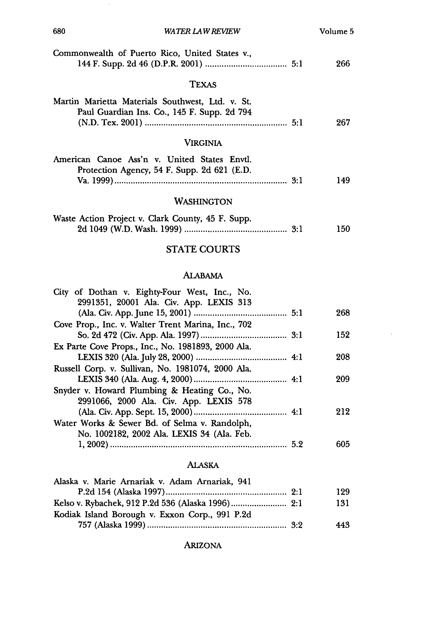| 680<br>WATER LAW REVIEW                                                                         | Volume 5 |
|-------------------------------------------------------------------------------------------------|----------|
| Commonwealth of Puerto Rico, United States v.,                                                  | 266      |
| <b>TEXAS</b>                                                                                    |          |
| Martin Marietta Materials Southwest, Ltd. v. St.<br>Paul Guardian Ins. Co., 145 F. Supp. 2d 794 | 267      |
| Virginia                                                                                        |          |
| American Canoe Ass'n v. United States Envtl.<br>Protection Agency, 54 F. Supp. 2d 621 (E.D.     | 149      |
| WASHINGTON                                                                                      |          |
| Waste Action Project v. Clark County, 45 F. Supp.                                               | 150      |

 $\hat{\boldsymbol{\beta}}$ 

# STATE COURTS

### ALABAMA

| City of Dothan v. Eighty-Four West, Inc., No.      |     |
|----------------------------------------------------|-----|
| 2991351, 20001 Ala. Civ. App. LEXIS 313            |     |
|                                                    | 268 |
| Cove Prop., Inc. v. Walter Trent Marina, Inc., 702 |     |
|                                                    | 152 |
| Ex Parte Cove Props., Inc., No. 1981893, 2000 Ala. |     |
|                                                    | 208 |
| Russell Corp. v. Sullivan, No. 1981074, 2000 Ala.  |     |
|                                                    | 209 |
| Snyder v. Howard Plumbing & Heating Co., No.       |     |
| 2991066, 2000 Ala. Civ. App. LEXIS 578             |     |
|                                                    | 212 |
| Water Works & Sewer Bd. of Selma v. Randolph,      |     |
| No. 1002182, 2002 Ala. LEXIS 34 (Ala. Feb.         |     |
|                                                    | 605 |
|                                                    |     |

## ALASKA

| Alaska v. Marie Arnariak v. Adam Arnariak, 941 |     |
|------------------------------------------------|-----|
|                                                | 129 |
|                                                | 131 |
| Kodiak Island Borough v. Exxon Corp., 991 P.2d |     |
|                                                | 443 |

ARIZONA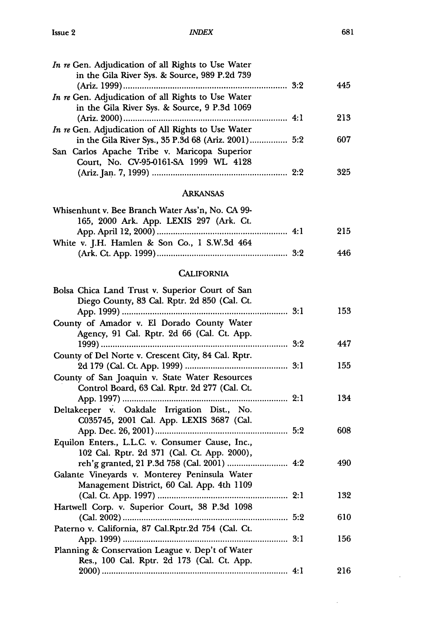#### *INDEX*

| In re Gen. Adjudication of all Rights to Use Water<br>in the Gila River Sys. & Source, 989 P.2d 739 |     |
|-----------------------------------------------------------------------------------------------------|-----|
|                                                                                                     | 445 |
| In re Gen. Adjudication of all Rights to Use Water                                                  |     |
| in the Gila River Sys. & Source, 9 P.3d 1069                                                        |     |
|                                                                                                     | 213 |
| In re Gen. Adjudication of All Rights to Use Water                                                  |     |
| in the Gila River Sys., 35 P.3d 68 (Ariz. 2001) 5:2                                                 | 607 |
| San Carlos Apache Tribe v. Maricopa Superior                                                        |     |
| Court, No. CV-95-0161-SA 1999 WL 4128                                                               |     |
|                                                                                                     | 325 |

# ARKANSAS

| Whisenhunt v. Bee Branch Water Ass'n, No. CA 99- |     |
|--------------------------------------------------|-----|
| 165, 2000 Ark. App. LEXIS 297 (Ark. Ct.          |     |
|                                                  | 215 |
| White v. J.H. Hamlen & Son Co., 1 S.W.3d 464     |     |
|                                                  | 446 |

### **CALIFORNIA**

| Bolsa Chica Land Trust v. Superior Court of San<br>Diego County, 83 Cal. Rptr. 2d 850 (Cal. Ct. | 153 |
|-------------------------------------------------------------------------------------------------|-----|
| County of Amador v. El Dorado County Water<br>Agency, 91 Cal. Rptr. 2d 66 (Cal. Ct. App.        |     |
|                                                                                                 | 447 |
| County of Del Norte v. Crescent City, 84 Cal. Rptr.                                             |     |
|                                                                                                 | 155 |
| County of San Joaquin v. State Water Resources<br>Control Board, 63 Cal. Rptr. 2d 277 (Cal. Ct. |     |
|                                                                                                 | 134 |
| Deltakeeper v. Oakdale Irrigation Dist., No.<br>C035745, 2001 Cal. App. LEXIS 3687 (Cal.        |     |
|                                                                                                 | 608 |
| Equilon Enters., L.L.C. v. Consumer Cause, Inc.,<br>102 Cal. Rptr. 2d 371 (Cal. Ct. App. 2000), |     |
|                                                                                                 | 490 |
| Galante Vineyards v. Monterey Peninsula Water<br>Management District, 60 Cal. App. 4th 1109     |     |
|                                                                                                 | 132 |
| Hartwell Corp. v. Superior Court, 38 P.3d 1098                                                  |     |
|                                                                                                 | 610 |
| Paterno v. California, 87 Cal.Rptr.2d 754 (Cal. Ct.                                             |     |
|                                                                                                 | 156 |
| Planning & Conservation League v. Dep't of Water                                                |     |
| Res., 100 Cal. Rptr. 2d 173 (Cal. Ct. App.                                                      |     |
|                                                                                                 | 216 |

 $\sim$ 

 $\sim$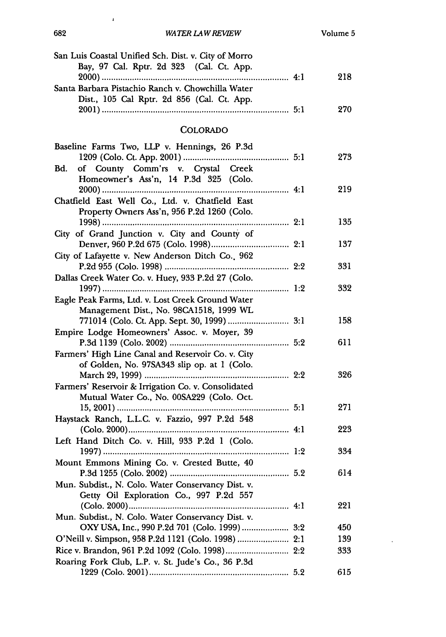| San Luis Coastal Unified Sch. Dist. v. City of Morro                                             |     |  |
|--------------------------------------------------------------------------------------------------|-----|--|
| Bay, 97 Cal. Rptr. 2d 323 (Cal. Ct. App.                                                         | 218 |  |
| Santa Barbara Pistachio Ranch v. Chowchilla Water<br>Dist., 105 Cal Rptr. 2d 856 (Cal. Ct. App.  |     |  |
|                                                                                                  | 270 |  |
| <b>COLORADO</b>                                                                                  |     |  |
| Baseline Farms Two, LLP v. Hennings, 26 P.3d                                                     | 273 |  |
| of County Comm'rs v. Crystal Creek<br>Bd.<br>Homeowner's Ass'n, 14 P.3d 325 (Colo.               |     |  |
| Chatfield East Well Co., Ltd. v. Chatfield East                                                  | 219 |  |
| Property Owners Ass'n, 956 P.2d 1260 (Colo.                                                      | 135 |  |
| City of Grand Junction v. City and County of                                                     | 137 |  |
| City of Lafayette v. New Anderson Ditch Co., 962                                                 | 331 |  |
| Dallas Creek Water Co. v. Huey, 933 P.2d 27 (Colo.                                               | 332 |  |
| Eagle Peak Farms, Ltd. v. Lost Creek Ground Water<br>Management Dist., No. 98CA1518, 1999 WL     |     |  |
| 771014 (Colo. Ct. App. Sept. 30, 1999)  3:1<br>Empire Lodge Homeowners' Assoc. v. Moyer, 39      | 158 |  |
| Farmers' High Line Canal and Reservoir Co. v. City                                               | 611 |  |
| of Golden, No. 97SA343 slip op. at 1 (Colo.                                                      | 326 |  |
| Farmers' Reservoir & Irrigation Co. v. Consolidated<br>Mutual Water Co., No. 00SA229 (Colo. Oct. |     |  |
| Haystack Ranch, L.L.C. v. Fazzio, 997 P.2d 548                                                   | 271 |  |
|                                                                                                  | 223 |  |
| Left Hand Ditch Co. v. Hill, 933 P.2d 1 (Colo.                                                   | 334 |  |
| Mount Emmons Mining Co. v. Crested Butte, 40                                                     | 614 |  |
| Mun. Subdist., N. Colo. Water Conservancy Dist. v.<br>Getty Oil Exploration Co., 997 P.2d 557    |     |  |
| Mun. Subdist., N. Colo. Water Conservancy Dist. v.                                               | 221 |  |
|                                                                                                  | 450 |  |
|                                                                                                  | 139 |  |
|                                                                                                  | 333 |  |
| Roaring Fork Club, L.P. v. St. Jude's Co., 36 P.3d                                               | 615 |  |

 $\bar{\mathbf{r}}$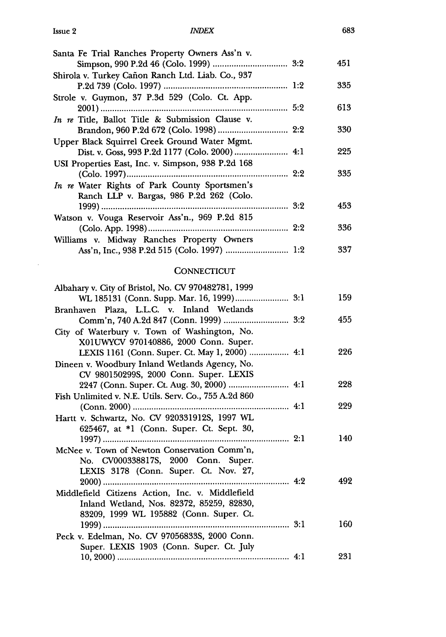$\bar{a}$ 

#### *INDEX*

| Santa Fe Trial Ranches Property Owners Ass'n v.    |     |
|----------------------------------------------------|-----|
|                                                    | 451 |
| Shirola v. Turkey Cañon Ranch Ltd. Liab. Co., 937  |     |
|                                                    | 335 |
| Strole v. Guymon, 37 P.3d 529 (Colo. Ct. App.      |     |
|                                                    | 613 |
| In re Title, Ballot Title & Submission Clause v.   |     |
|                                                    | 330 |
| Upper Black Squirrel Creek Ground Water Mgmt.      |     |
| Dist. v. Goss, 993 P.2d 1177 (Colo. 2000)  4:1     | 225 |
| USI Properties East, Inc. v. Simpson, 938 P.2d 168 |     |
|                                                    | 335 |
| In re Water Rights of Park County Sportsmen's      |     |
| Ranch LLP v. Bargas, 986 P.2d 262 (Colo.           |     |
|                                                    | 453 |
| Watson v. Vouga Reservoir Ass'n., 969 P.2d 815     |     |
|                                                    | 336 |
| Williams v. Midway Ranches Property Owners         |     |
|                                                    | 337 |

### **CONNECTICUT**

| Albahary v. City of Bristol, No. CV 970482781, 1999   |     |
|-------------------------------------------------------|-----|
|                                                       | 159 |
| Branhaven Plaza, L.L.C. v. Inland Wetlands            |     |
|                                                       | 455 |
| City of Waterbury v. Town of Washington, No.          |     |
| X01UWYCV 970140886, 2000 Conn. Super.                 |     |
| LEXIS 1161 (Conn. Super. Ct. May 1, 2000)  4:1        | 226 |
| Dineen v. Woodbury Inland Wetlands Agency, No.        |     |
| CV 980150299S, 2000 Conn. Super. LEXIS                |     |
| 2247 (Conn. Super. Ct. Aug. 30, 2000)  4:1            | 228 |
| Fish Unlimited v. N.E. Utils. Serv. Co., 755 A.2d 860 |     |
|                                                       | 229 |
| Hartt v. Schwartz, No. CV 920331912S, 1997 WL         |     |
| 625467, at *1 (Conn. Super. Ct. Sept. 30,             |     |
|                                                       | 140 |
| McNee v. Town of Newton Conservation Comm'n,          |     |
| No. CV000338817S, 2000 Conn. Super.                   |     |
| LEXIS 3178 (Conn. Super. Ct. Nov. 27,                 |     |
|                                                       | 492 |
| Middlefield Citizens Action, Inc. v. Middlefield      |     |
| Inland Wetland, Nos. 82372, 85259, 82830,             |     |
| 83209, 1999 WL 195882 (Conn. Super. Ct.               |     |
|                                                       | 160 |
| Peck v. Edelman, No. CV 97056833S, 2000 Conn.         |     |
| Super. LEXIS 1903 (Conn. Super. Ct. July              |     |
|                                                       | 231 |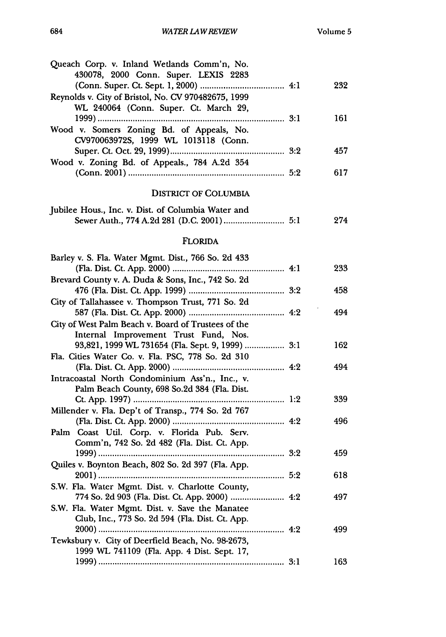| Queach Corp. v. Inland Wetlands Comm'n, No.<br>430078, 2000 Conn. Super. LEXIS 2283       |     |     |
|-------------------------------------------------------------------------------------------|-----|-----|
| Reynolds v. City of Bristol, No. CV 970482675, 1999                                       |     | 232 |
| WL 240064 (Conn. Super. Ct. March 29,                                                     |     | 161 |
| Wood v. Somers Zoning Bd. of Appeals, No.<br>CV970063972S, 1999 WL 1013118 (Conn.         |     |     |
|                                                                                           | 3.2 | 457 |
| Wood v. Zoning Bd. of Appeals., 784 A.2d 354                                              |     | 617 |
| <b>DISTRICT OF COLUMBIA</b>                                                               |     |     |
| Jubilee Hous., Inc. v. Dist. of Columbia Water and                                        |     | 274 |
| <b>FLORIDA</b>                                                                            |     |     |
| Barley v. S. Fla. Water Mgmt. Dist., 766 So. 2d 433                                       |     |     |
|                                                                                           |     | 233 |
| Brevard County v. A. Duda & Sons, Inc., 742 So. 2d                                        |     |     |
|                                                                                           |     | 458 |
| City of Tallahassee v. Thompson Trust, 771 So. 2d                                         |     |     |
|                                                                                           |     | 494 |
| City of West Palm Beach v. Board of Trustees of the                                       |     |     |
| Internal Improvement Trust Fund, Nos.<br>93,821, 1999 WL 731654 (Fla. Sept. 9, 1999)  3:1 |     | 162 |
| Fla. Cities Water Co. v. Fla. PSC, 778 So. 2d 310                                         |     |     |
|                                                                                           |     | 494 |
| Intracoastal North Condominium Ass'n., Inc., v.                                           |     |     |
| Palm Beach County, 698 So.2d 384 (Fla. Dist.                                              |     |     |
| 1:2                                                                                       |     | 339 |
| Millender v. Fla. Dep't of Transp., 774 So. 2d 767                                        |     |     |
|                                                                                           |     | 496 |
| Palm Coast Util. Corp. v. Florida Pub. Serv.                                              |     |     |
| Comm'n, 742 So. 2d 482 (Fla. Dist. Ct. App.<br>3:2<br>1999)                               |     | 459 |
| Quiles v. Boynton Beach, 802 So. 2d 397 (Fla. App.                                        |     |     |
|                                                                                           | 5:2 | 618 |
| S.W. Fla. Water Mgmt. Dist. v. Charlotte County,                                          |     |     |
| 774 So. 2d 903 (Fla. Dist. Ct. App. 2000)  4:2                                            |     | 497 |
| S.W. Fla. Water Mgmt. Dist. v. Save the Manatee                                           |     |     |
| Club, Inc., 773 So. 2d 594 (Fla. Dist. Ct. App.                                           |     |     |
|                                                                                           | 499 |     |
| Tewksbury v. City of Deerfield Beach, No. 98-2673,                                        |     |     |
| 1999 WL 741109 (Fla. App. 4 Dist. Sept. 17,                                               |     | 163 |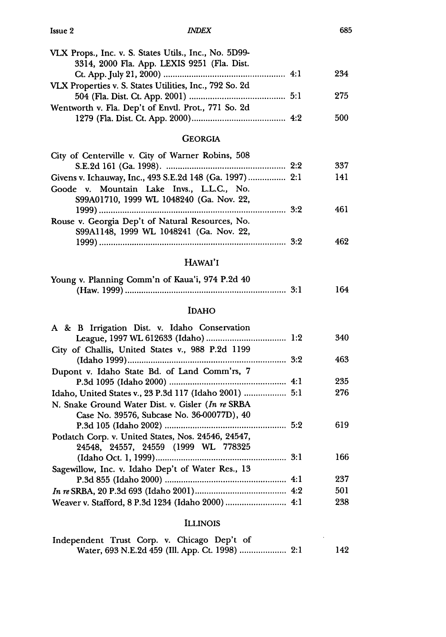#### *1NDEX*

| VLX Props., Inc. v. S. States Utils., Inc., No. 5D99-   |     |
|---------------------------------------------------------|-----|
| 3314, 2000 Fla. App. LEXIS 9251 (Fla. Dist.             |     |
|                                                         | 234 |
| VLX Properties v. S. States Utilities, Inc., 792 So. 2d |     |
|                                                         | 275 |
| Wentworth v. Fla. Dep't of Envtl. Prot., 771 So. 2d     |     |
|                                                         | 500 |
|                                                         |     |

### GEORGIA

| City of Centerville v. City of Warner Robins, 508                                     |     |
|---------------------------------------------------------------------------------------|-----|
|                                                                                       | 337 |
| Givens v. Ichauway, Inc., 493 S.E.2d 148 (Ga. 1997)  2:1                              | 141 |
| Goode v. Mountain Lake Invs., L.L.C., No.<br>S99A01710, 1999 WL 1048240 (Ga. Nov. 22, |     |
|                                                                                       | 461 |
| Rouse v. Georgia Dep't of Natural Resources, No.                                      |     |
| S99A1148, 1999 WL 1048241 (Ga. Nov. 22,                                               |     |
|                                                                                       | 462 |

### HAwAI'I

| Young v. Planning Comm'n of Kaua'i, 974 P.2d 40 |     |
|-------------------------------------------------|-----|
|                                                 | 164 |

# IDAHO

| A & B Irrigation Dist. v. Idaho Conservation           |     |
|--------------------------------------------------------|-----|
|                                                        | 340 |
| City of Challis, United States v., 988 P.2d 1199       |     |
|                                                        | 463 |
| Dupont v. Idaho State Bd. of Land Comm'rs, 7           |     |
|                                                        | 235 |
| Idaho, United States v., 23 P.3d 117 (Idaho 2001)  5:1 | 276 |
| N. Snake Ground Water Dist. v. Gisler (In re SRBA      |     |
| Case No. 39576, Subcase No. 36-00077D), 40             |     |
|                                                        | 619 |
| Potlatch Corp. v. United States, Nos. 24546, 24547,    |     |
| 24548, 24557, 24559 (1999 WL 778325                    |     |
|                                                        | 166 |
| Sagewillow, Inc. v. Idaho Dep't of Water Res., 13      |     |
|                                                        | 237 |
|                                                        | 501 |
| Weaver v. Stafford, 8 P.3d 1234 (Idaho 2000)  4:1      | 238 |
|                                                        |     |

### ILLINOIS

| Independent Trust Corp. v. Chicago Dep't of |  |  |  |  |     |
|---------------------------------------------|--|--|--|--|-----|
|                                             |  |  |  |  | 142 |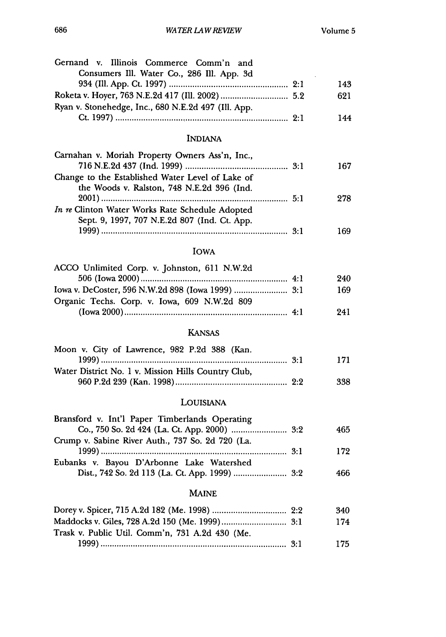| Gernand v. Illinois Commerce Comm'n and<br>Consumers Ill. Water Co., 286 Ill. App. 3d |     |     |
|---------------------------------------------------------------------------------------|-----|-----|
|                                                                                       |     | 143 |
|                                                                                       |     | 621 |
| Ryan v. Stonehedge, Inc., 680 N.E.2d 497 (Ill. App.                                   |     |     |
|                                                                                       |     | 144 |
|                                                                                       |     |     |
| <b>INDIANA</b>                                                                        |     |     |
| Carnahan v. Moriah Property Owners Ass'n, Inc.,                                       |     |     |
|                                                                                       |     | 167 |
| Change to the Established Water Level of Lake of                                      |     |     |
| the Woods v. Ralston, 748 N.E.2d 396 (Ind.                                            |     |     |
|                                                                                       |     | 278 |
| In re Clinton Water Works Rate Schedule Adopted                                       |     |     |
| Sept. 9, 1997, 707 N.E.2d 807 (Ind. Ct. App.                                          |     |     |
|                                                                                       |     | 169 |
| <b>IOWA</b>                                                                           |     |     |
| ACCO Unlimited Corp. v. Johnston, 611 N.W.2d                                          |     |     |
|                                                                                       |     | 240 |
|                                                                                       |     | 169 |
| Organic Techs. Corp. v. Iowa, 609 N.W.2d 809                                          |     |     |
|                                                                                       |     | 241 |
| <b>KANSAS</b>                                                                         |     |     |
|                                                                                       |     |     |
| Moon v. City of Lawrence, 982 P.2d 388 (Kan.                                          |     |     |
|                                                                                       |     | 171 |
| Water District No. 1 v. Mission Hills Country Club,                                   |     |     |
|                                                                                       |     | 338 |
| LOUISIANA                                                                             |     |     |
| Bransford v. Int'l Paper Timberlands Operating                                        |     |     |
|                                                                                       |     | 465 |
| Crump v. Sabine River Auth., 737 So. 2d 720 (La.                                      |     |     |
|                                                                                       | 3:1 | 172 |
| Eubanks v. Bayou D'Arbonne Lake Watershed                                             |     |     |
| Dist., 742 So. 2d 113 (La. Ct. App. 1999)  3:2                                        |     | 466 |
|                                                                                       |     |     |
| MAINE                                                                                 |     |     |
|                                                                                       |     | 340 |
|                                                                                       |     | 174 |
| Trask v. Public Util. Comm'n, 731 A.2d 430 (Me.                                       |     |     |
|                                                                                       |     | 175 |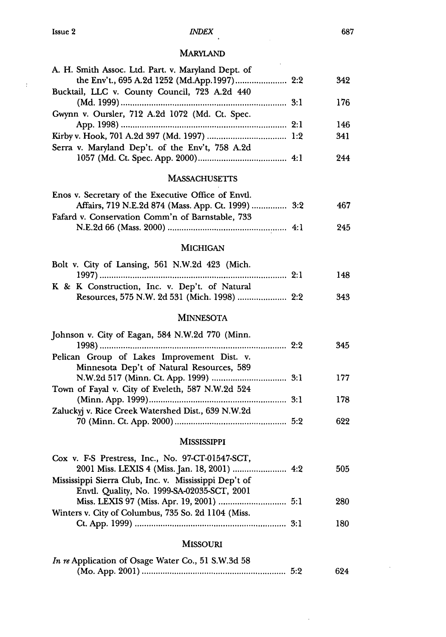$\sim 10$ 

# *INDEX*

# MARYLAND

| A. H. Smith Assoc. Ltd. Part. v. Maryland Dept. of    |     |
|-------------------------------------------------------|-----|
|                                                       | 342 |
| Bucktail, LLC v. County Council, 723 A.2d 440         |     |
|                                                       | 176 |
| Gwynn v. Oursler, 712 A.2d 1072 (Md. Ct. Spec.        |     |
|                                                       | 146 |
|                                                       | 341 |
| Serra v. Maryland Dep't. of the Env't, 758 A.2d       |     |
|                                                       | 244 |
| <b>MASSACHUSETTS</b>                                  |     |
| Enos v. Secretary of the Executive Office of Envtl.   |     |
| Affairs, 719 N.E.2d 874 (Mass. App. Ct. 1999)  3:2    | 467 |
| Fafard v. Conservation Comm'n of Barnstable, 733      |     |
|                                                       | 245 |
| <b>MICHIGAN</b>                                       |     |
| Bolt v. City of Lansing, 561 N.W.2d 423 (Mich.        |     |
|                                                       | 148 |
| K & K Construction, Inc. v. Dep't. of Natural         |     |
|                                                       | 343 |
| <b>MINNESOTA</b>                                      |     |
|                                                       |     |
| Johnson v. City of Eagan, 584 N.W.2d 770 (Minn.       |     |
| Pelican Group of Lakes Improvement Dist. v.           | 345 |
| Minnesota Dep't of Natural Resources, 589             |     |
|                                                       | 177 |
| Town of Fayal v. City of Eveleth, 587 N.W.2d 524      |     |
|                                                       | 178 |
| Zaluckyj v. Rice Creek Watershed Dist., 639 N.W.2d    |     |
|                                                       | 622 |
| <b>MISSISSIPPI</b>                                    |     |
| Cox v. F-S Prestress, Inc., No. 97-CT-01547-SCT,      |     |
|                                                       | 505 |
| Mississippi Sierra Club, Inc. v. Mississippi Dep't of |     |
| Envtl. Quality, No. 1999-SA-02035-SCT, 2001           |     |
|                                                       | 280 |
| Winters v. City of Columbus, 735 So. 2d 1104 (Miss.   |     |
|                                                       | 180 |
| <b>MISSOURI</b>                                       |     |
| In re Application of Osage Water Co., 51 S.W.3d 58    |     |
|                                                       | 624 |

 $\sim$   $\sim$ 

 $\mathcal{A}^{\mathcal{A}}$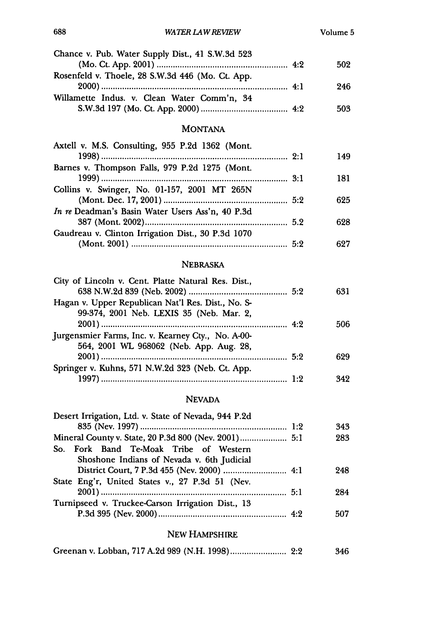| Chance v. Pub. Water Supply Dist., 41 S.W.3d 523                                               | 502 |
|------------------------------------------------------------------------------------------------|-----|
| Rosenfeld v. Thoele, 28 S.W.3d 446 (Mo. Ct. App.                                               |     |
|                                                                                                | 246 |
| Willamette Indus. v. Clean Water Comm'n, 34                                                    | 503 |
| <b>MONTANA</b>                                                                                 |     |
| Axtell v. M.S. Consulting, 955 P.2d 1362 (Mont.                                                |     |
|                                                                                                | 149 |
| Barnes v. Thompson Falls, 979 P.2d 1275 (Mont.                                                 |     |
|                                                                                                | 181 |
| Collins v. Swinger, No. 01-157, 2001 MT 265N                                                   |     |
|                                                                                                | 625 |
| In re Deadman's Basin Water Users Ass'n, 40 P.3d                                               |     |
| Gaudreau v. Clinton Irrigation Dist., 30 P.3d 1070                                             | 628 |
|                                                                                                | 627 |
| <b>NEBRASKA</b>                                                                                |     |
| City of Lincoln v. Cent. Platte Natural Res. Dist.,                                            |     |
|                                                                                                | 631 |
| Hagan v. Upper Republican Nat'l Res. Dist., No. S-<br>99-374, 2001 Neb. LEXIS 35 (Neb. Mar. 2, |     |
|                                                                                                | 506 |
| Jurgensmier Farms, Inc. v. Kearney Cty., No. A-00-<br>564, 2001 WL 968062 (Neb. App. Aug. 28,  |     |
|                                                                                                | 629 |
| Springer v. Kuhns, 571 N.W.2d 323 (Neb. Ct. App.                                               |     |
|                                                                                                | 342 |
| <b>NEVADA</b>                                                                                  |     |
| Desert Irrigation, Ltd. v. State of Nevada, 944 P.2d                                           |     |
|                                                                                                | 343 |
| Mineral County v. State, 20 P.3d 800 (Nev. 2001) 5:1                                           | 283 |
| So. Fork Band Te-Moak Tribe of Western                                                         |     |
| Shoshone Indians of Nevada v. 6th Judicial                                                     |     |
|                                                                                                | 248 |
| State Eng'r, United States v., 27 P.3d 51 (Nev.                                                | 284 |
| Turnipseed v. Truckee-Carson Irrigation Dist., 13                                              |     |
|                                                                                                | 507 |

# NEW HAMPSHIRE

|  |  |  | 346 |
|--|--|--|-----|
|--|--|--|-----|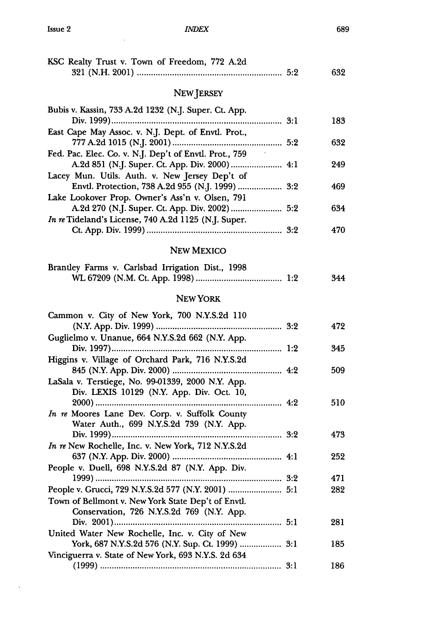$\sim 10^{-1}$ 

 $\ddot{\phantom{a}}$ 

### *INDEX*

| KSC Realty Trust v. Town of Freedom, 772 A.2d                                                                                                             |     | 632 |
|-----------------------------------------------------------------------------------------------------------------------------------------------------------|-----|-----|
| <b>NEW JERSEY</b>                                                                                                                                         |     |     |
| Bubis v. Kassin, 733 A.2d 1232 (N.J. Super. Ct. App.                                                                                                      |     | 183 |
| East Cape May Assoc. v. N.J. Dept. of Envtl. Prot.,                                                                                                       |     | 632 |
| Fed. Pac. Elec. Co. v. N.J. Dep't of Envtl. Prot., 759<br>A.2d 851 (N.J. Super. Ct. App. Div. 2000)  4:1                                                  |     | 249 |
| Lacey Mun. Utils. Auth. v. New Jersey Dep't of<br>Envtl. Protection, 738 A.2d 955 (N.J. 1999)  3:2                                                        |     | 469 |
| Lake Lookover Prop. Owner's Ass'n v. Olsen, 791<br>A.2d 270 (N.J. Super. Ct. App. Div. 2002)  5:2<br>In re Tideland's License, 740 A.2d 1125 (N.J. Super. |     | 634 |
|                                                                                                                                                           |     | 470 |
| <b>NEW MEXICO</b>                                                                                                                                         |     |     |
| Brantley Farms v. Carlsbad Irrigation Dist., 1998                                                                                                         |     | 344 |
| NEW YORK                                                                                                                                                  |     |     |
| Cammon v. City of New York, 700 N.Y.S.2d 110                                                                                                              |     | 472 |
| Guglielmo v. Unanue, 664 N.Y.S.2d 662 (N.Y. App.<br>1:2                                                                                                   |     | 345 |
| Higgins v. Village of Orchard Park, 716 N.Y.S.2d                                                                                                          |     | 509 |
| LaSala v. Terstiege, No. 99-01339, 2000 N.Y. App.<br>Div. LEXIS 10129 (N.Y. App. Div. Oct. 10,                                                            |     | 510 |
| In re Moores Lane Dev. Corp. v. Suffolk County<br>Water Auth., 699 N.Y.S.2d 739 (N.Y. App.                                                                |     |     |
| In re New Rochelle, Inc. v. New York, 712 N.Y.S.2d                                                                                                        |     | 473 |
|                                                                                                                                                           |     | 252 |
| People v. Duell, 698 N.Y.S.2d 87 (N.Y. App. Div.<br>1999)                                                                                                 |     | 471 |
| People v. Grucci, 729 N.Y.S.2d 577 (N.Y. 2001)  5:1<br>Town of Bellmont v. New York State Dep't of Envtl.<br>Conservation, 726 N.Y.S.2d 769 (N.Y. App.    |     | 282 |
|                                                                                                                                                           |     | 281 |
| United Water New Rochelle, Inc. v. City of New<br>York, 687 N.Y.S.2d 576 (N.Y. Sup. Ct. 1999)                                                             | 3:1 | 185 |
| Vinciguerra v. State of New York, 693 N.Y.S. 2d 634                                                                                                       |     | 186 |

689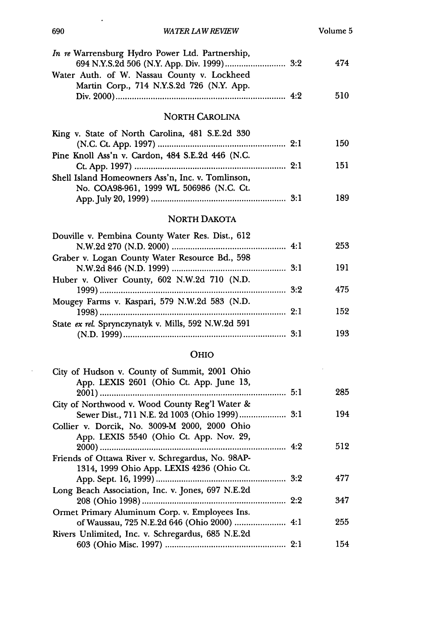| In re Warrensburg Hydro Power Ltd. Partnership,                                          | 474 |
|------------------------------------------------------------------------------------------|-----|
| Water Auth. of W. Nassau County v. Lockheed<br>Martin Corp., 714 N.Y.S.2d 726 (N.Y. App. |     |
|                                                                                          | 510 |
| <b>NORTH CAROLINA</b>                                                                    |     |
| King v. State of North Carolina, 481 S.E.2d 330                                          | 150 |
| Pine Knoll Ass'n v. Cardon, 484 S.E.2d 446 (N.C.                                         |     |
| Shell Island Homeowners Ass'n, Inc. v. Tomlinson,                                        | 151 |
| No. COA98-961, 1999 WL 506986 (N.C. Ct.                                                  | 189 |
| NORTH DAKOTA                                                                             |     |
| Douville v. Pembina County Water Res. Dist., 612                                         | 253 |
| Graber v. Logan County Water Resource Bd., 598                                           | 191 |
| Huber v. Oliver County, 602 N.W.2d 710 (N.D.                                             | 475 |
| Mougey Farms v. Kaspari, 579 N.W.2d 583 (N.D.                                            | 152 |
| State ex rel. Sprynczynatyk v. Mills, 592 N.W.2d 591                                     | 193 |
|                                                                                          |     |
| OHIO                                                                                     |     |
| City of Hudson v. County of Summit, 2001 Ohio<br>App. LEXIS 2601 (Ohio Ct. App. June 13, | 285 |
| City of Northwood v. Wood County Reg'l Water &                                           |     |
|                                                                                          | 194 |
| Collier v. Dorcik, No. 3009-M 2000, 2000 Ohio<br>App. LEXIS 5540 (Ohio Ct. App. Nov. 29, |     |
| Friends of Ottawa River v. Schregardus, No. 98AP-                                        | 512 |

1314, 1999 Ohio App. LEXIS 4236 (Ohio Ct.

Long Beach Association, Inc. v. Jones, 697 N.E.2d

Ormet Primary Aluminum Corp. v. Employees Ins.

Rivers Unlimited, Inc. v. Schregardus, 685 N.E.2d

App. Sept. 16, 1999) **........................................................** 3:2 477

208 (O hio 1998) **..............................................................** 2:2 347

of Waussau, 725 N.E.2d 646 (Ohio 2000) **......................** 4:1 255

603 (O hio M isc. 1997) **....................................................** 2:1 154

#### *WATER LAW REVIEW*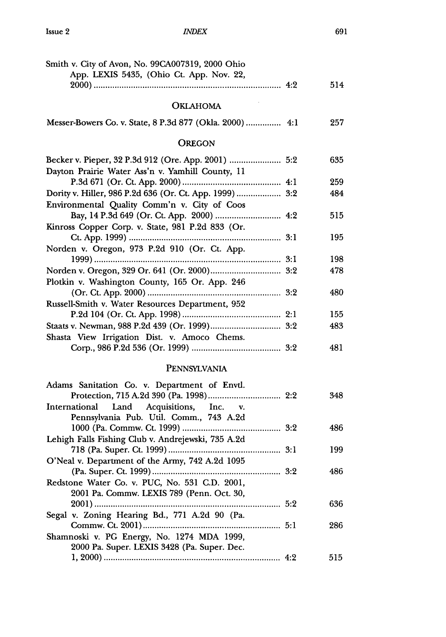### *INrDEX*

| Smith v. City of Avon, No. 99CA007319, 2000 Ohio<br>App. LEXIS 5435, (Ohio Ct. App. Nov. 22,            |     |
|---------------------------------------------------------------------------------------------------------|-----|
|                                                                                                         | 514 |
| <b>OKLAHOMA</b>                                                                                         |     |
| Messer-Bowers Co. v. State, 8 P.3d 877 (Okla. 2000) 4:1                                                 | 257 |
| <b>OREGON</b>                                                                                           |     |
| Becker v. Pieper, 32 P.3d 912 (Ore. App. 2001)  5:2<br>Dayton Prairie Water Ass'n v. Yamhill County, 11 | 635 |
|                                                                                                         | 259 |
| Dority v. Hiller, 986 P.2d 636 (Or. Ct. App. 1999)  3:2<br>Environmental Quality Comm'n v. City of Coos | 484 |
| Kinross Copper Corp. v. State, 981 P.2d 833 (Or.                                                        | 515 |
| Norden v. Oregon, 973 P.2d 910 (Or. Ct. App.                                                            | 195 |
|                                                                                                         | 198 |
|                                                                                                         | 478 |
| Plotkin v. Washington County, 165 Or. App. 246                                                          |     |
| Russell-Smith v. Water Resources Department, 952                                                        | 480 |
|                                                                                                         | 155 |
|                                                                                                         | 483 |
| Shasta View Irrigation Dist. v. Amoco Chems.                                                            |     |
|                                                                                                         | 481 |
| PENNSYLVANIA                                                                                            |     |
| Adams Sanitation Co. v. Department of Envtl.                                                            | 348 |
| International<br>Land<br>Acquisitions,<br>Inc.<br>$\mathbf{v}$ .                                        |     |
| Pennsylvania Pub. Util. Comm., 743 A.2d                                                                 | 486 |
| Lehigh Falls Fishing Club v. Andrejewski, 735 A.2d                                                      | 199 |
| O'Neal v. Department of the Army, 742 A.2d 1095                                                         | 486 |
| Redstone Water Co. v. PUC, No. 531 C.D. 2001,                                                           |     |
| 2001 Pa. Commw. LEXIS 789 (Penn. Oct. 30,                                                               | 636 |
| Segal v. Zoning Hearing Bd., 771 A.2d 90 (Pa.                                                           | 286 |
| Shamnoski v. PG Energy, No. 1274 MDA 1999,                                                              |     |
| 2000 Pa. Super. LEXIS 3428 (Pa. Super. Dec.                                                             |     |
|                                                                                                         | 515 |

691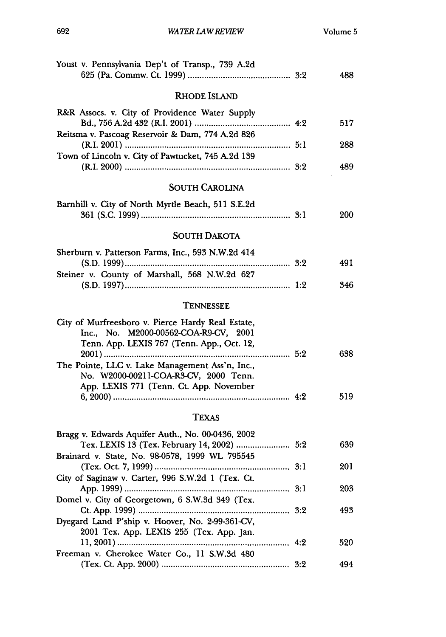| Youst v. Pennsylvania Dep't of Transp., 739 A.2d                                                                                         | 488 |
|------------------------------------------------------------------------------------------------------------------------------------------|-----|
| <b>RHODE ISLAND</b>                                                                                                                      |     |
| R&R Assocs. v. City of Providence Water Supply                                                                                           | 517 |
| Reitsma v. Pascoag Reservoir & Dam, 774 A.2d 826                                                                                         | 288 |
| Town of Lincoln v. City of Pawtucket, 745 A.2d 139                                                                                       | 489 |
| <b>SOUTH CAROLINA</b>                                                                                                                    |     |
| Barnhill v. City of North Myrtle Beach, 511 S.E.2d                                                                                       | 200 |
| <b>SOUTH DAKOTA</b>                                                                                                                      |     |
| Sherburn v. Patterson Farms, Inc., 593 N.W.2d 414<br>Steiner v. County of Marshall, 568 N.W.2d 627                                       | 491 |
|                                                                                                                                          | 346 |
| TENNESSEE                                                                                                                                |     |
| City of Murfreesboro v. Pierce Hardy Real Estate,<br>Inc., No. M2000-00562-COA-R9-CV, 2001<br>Tenn. App. LEXIS 767 (Tenn. App., Oct. 12, |     |
| The Pointe, LLC v. Lake Management Ass'n, Inc.,<br>No. W2000-00211-COA-R3-CV, 2000 Tenn.<br>App. LEXIS 771 (Tenn. Ct. App. November      | 638 |
|                                                                                                                                          | 519 |
| TEXAS                                                                                                                                    |     |
| Bragg v. Edwards Aquifer Auth., No. 00-0436, 2002                                                                                        | 639 |
| Brainard v. State, No. 98-0578, 1999 WL 795545                                                                                           | 201 |
| City of Saginaw v. Carter, 996 S.W.2d 1 (Tex. Ct.                                                                                        |     |
| Domel v. City of Georgetown, 6 S.W.3d 349 (Tex.                                                                                          | 203 |
| Dyegard Land P'ship v. Hoover, No. 2-99-361-CV,                                                                                          | 493 |
| 2001 Tex. App. LEXIS 255 (Tex. App. Jan.                                                                                                 | 520 |
| Freeman v. Cherokee Water Co., 11 S.W.3d 480                                                                                             | 494 |
|                                                                                                                                          |     |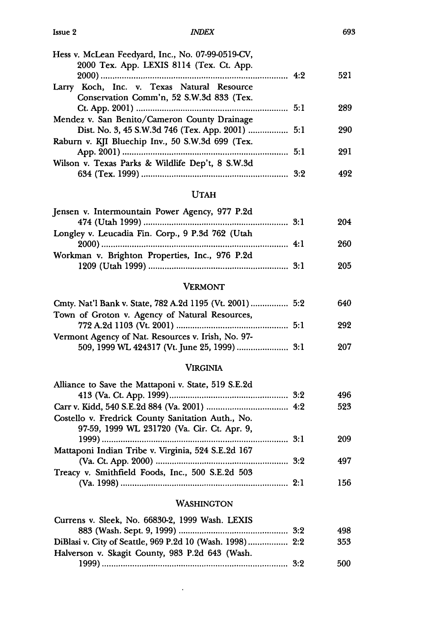### *INDEX*

| Hess v. McLean Feedyard, Inc., No. 07-99-0519-CV,<br>2000 Tex. App. LEXIS 8114 (Tex. Ct. App. |     |
|-----------------------------------------------------------------------------------------------|-----|
|                                                                                               | 521 |
| Larry Koch, Inc. v. Texas Natural Resource                                                    |     |
| Conservation Comm'n, 52 S.W.3d 833 (Tex.                                                      |     |
|                                                                                               | 289 |
| Mendez v. San Benito/Cameron County Drainage                                                  |     |
| Dist. No. 3, 45 S.W.3d 746 (Tex. App. 2001)  5:1                                              | 290 |
| Raburn v. KJI Bluechip Inv., 50 S.W.3d 699 (Tex.                                              |     |
|                                                                                               | 291 |
| Wilson v. Texas Parks & Wildlife Dep't, 8 S.W.3d                                              |     |
|                                                                                               | 499 |
|                                                                                               |     |

## UTAH

| Jensen v. Intermountain Power Agency, 977 P.2d   |     |
|--------------------------------------------------|-----|
|                                                  | 204 |
| Longley v. Leucadia Fin. Corp., 9 P.3d 762 (Utah |     |
|                                                  | 260 |
| Workman v. Brighton Properties, Inc., 976 P.2d   |     |
|                                                  | 205 |

### VERMONT

| Cmty. Nat'l Bank v. State, 782 A.2d 1195 (Vt. 2001)  5:2 | 640 |
|----------------------------------------------------------|-----|
| Town of Groton v. Agency of Natural Resources,           |     |
|                                                          | 292 |
| Vermont Agency of Nat. Resources v. Irish, No. 97-       |     |
|                                                          | 207 |

### VIRGINIA

| 496 |
|-----|
| 523 |
|     |
| 209 |
|     |
| 497 |
|     |
| 156 |
|     |

# WASHINGTON

| Currens v. Sleek, No. 66830-2, 1999 Wash. LEXIS          |     |
|----------------------------------------------------------|-----|
|                                                          | 498 |
| DiBlasi v. City of Seattle, 969 P.2d 10 (Wash. 1998) 2:2 | 353 |
| Halverson v. Skagit County, 983 P.2d 643 (Wash.          |     |
|                                                          | 500 |

 $\sim 10^{-10}$